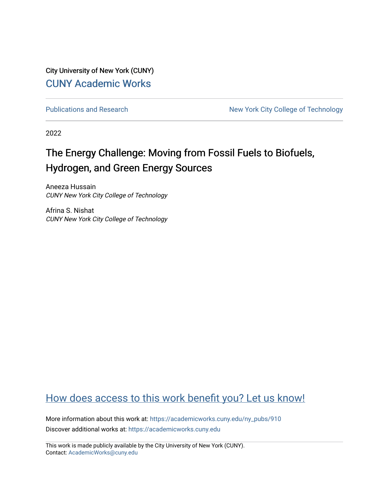City University of New York (CUNY) [CUNY Academic Works](https://academicworks.cuny.edu/) 

[Publications and Research](https://academicworks.cuny.edu/ny_pubs) New York City College of Technology

2022

#### The Energy Challenge: Moving from Fossil Fuels to Biofuels, Hydrogen, and Green Energy Sources

Aneeza Hussain CUNY New York City College of Technology

Afrina S. Nishat CUNY New York City College of Technology

#### [How does access to this work benefit you? Let us know!](http://ols.cuny.edu/academicworks/?ref=https://academicworks.cuny.edu/ny_pubs/910)

More information about this work at: [https://academicworks.cuny.edu/ny\\_pubs/910](https://academicworks.cuny.edu/ny_pubs/910)  Discover additional works at: [https://academicworks.cuny.edu](https://academicworks.cuny.edu/?)

This work is made publicly available by the City University of New York (CUNY). Contact: [AcademicWorks@cuny.edu](mailto:AcademicWorks@cuny.edu)